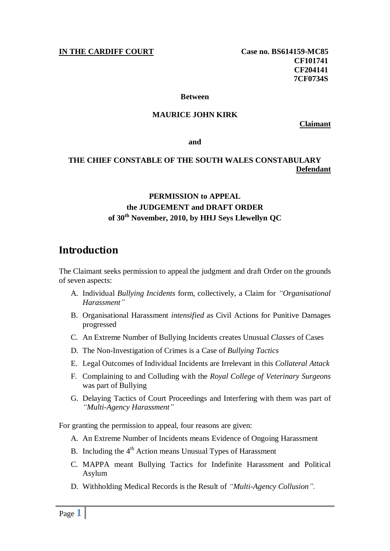### **IN THE CARDIFF COURT** Case no. BS614159-MC85

**CF101741 CF204141 7CF0734S**

#### **Between**

### **MAURICE JOHN KIRK**

**Claimant**

**and**

### **THE CHIEF CONSTABLE OF THE SOUTH WALES CONSTABULARY Defendant**

## **PERMISSION to APPEAL the JUDGEMENT and DRAFT ORDER of 30th November, 2010, by HHJ Seys Llewellyn QC**

# **Introduction**

The Claimant seeks permission to appeal the judgment and draft Order on the grounds of seven aspects:

- A. Individual *Bullying Incidents* form, collectively, a Claim for *"Organisational Harassment"*
- B. Organisational Harassment *intensified* as Civil Actions for Punitive Damages progressed
- C. An Extreme Number of Bullying Incidents creates Unusual *Classes* of Cases
- D. The Non-Investigation of Crimes is a Case of *Bullying Tactics*
- E. Legal Outcomes of Individual Incidents are Irrelevant in this *Collateral Attack*
- F. Complaining to and Colluding with the *Royal College of Veterinary Surgeons* was part of Bullying
- G. Delaying Tactics of Court Proceedings and Interfering with them was part of *"Multi-Agency Harassment"*

For granting the permission to appeal, four reasons are given:

- A. An Extreme Number of Incidents means Evidence of Ongoing Harassment
- B. Including the  $4<sup>th</sup>$  Action means Unusual Types of Harassment
- C. MAPPA meant Bullying Tactics for Indefinite Harassment and Political Asylum
- D. Withholding Medical Records is the Result of *"Multi-Agency Collusion".*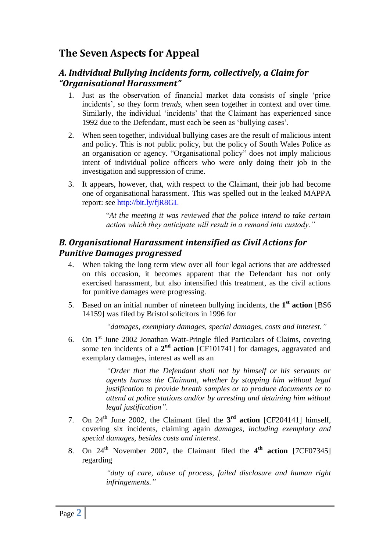# **The Seven Aspects for Appeal**

## *A. Individual Bullying Incidents form, collectively, a Claim for "Organisational Harassment"*

- 1. Just as the observation of financial market data consists of single "price incidents', so they form *trends*, when seen together in context and over time. Similarly, the individual 'incidents' that the Claimant has experienced since 1992 due to the Defendant, must each be seen as "bullying cases".
- 2. When seen together, individual bullying cases are the result of malicious intent and policy. This is not public policy, but the policy of South Wales Police as an organisation or agency. "Organisational policy" does not imply malicious intent of individual police officers who were only doing their job in the investigation and suppression of crime.
- 3. It appears, however, that, with respect to the Claimant, their job had become one of organisational harassment. This was spelled out in the leaked MAPPA report: see<http://bit.ly/fjR8GL>

"*At the meeting it was reviewed that the police intend to take certain action which they anticipate will result in a remand into custody."* 

## *B. Organisational Harassment intensified as Civil Actions for Punitive Damages progressed*

- 4. When taking the long term view over all four legal actions that are addressed on this occasion, it becomes apparent that the Defendant has not only exercised harassment, but also intensified this treatment, as the civil actions for punitive damages were progressing.
- 5. Based on an initial number of nineteen bullying incidents, the **1 st action** [BS6 14159] was filed by Bristol solicitors in 1996 for

*"damages, exemplary damages, special damages, costs and interest."*

6. On 1st June 2002 Jonathan Watt-Pringle filed Particulars of Claims, covering some ten incidents of a  $2<sup>nd</sup>$  **action** [CF101741] for damages, aggravated and exemplary damages, interest as well as an

> *"Order that the Defendant shall not by himself or his servants or agents harass the Claimant, whether by stopping him without legal justification to provide breath samples or to produce documents or to attend at police stations and/or by arresting and detaining him without legal justification"*.

- 7. On  $24<sup>th</sup>$  June 2002, the Claimant filed the  $3<sup>rd</sup>$  **action** [CF204141] himself, covering six incidents, claiming again *damages, including exemplary and special damages, besides costs and interest*.
- 8. On 24<sup>th</sup> November 2007, the Claimant filed the 4<sup>th</sup> action [7CF07345] regarding

*"duty of care, abuse of process, failed disclosure and human right infringements."*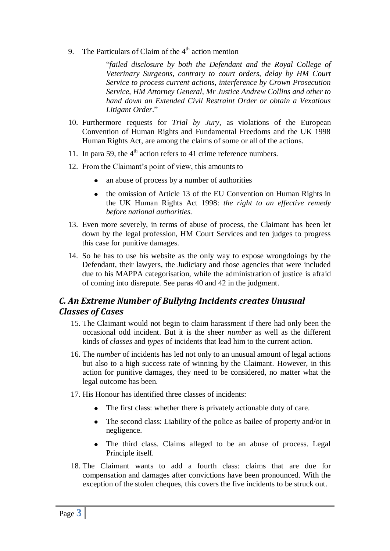9. The Particulars of Claim of the  $4<sup>th</sup>$  action mention

"*failed disclosure by both the Defendant and the Royal College of Veterinary Surgeons, contrary to court orders, delay by HM Court Service to process current actions, interference by Crown Prosecution Service, HM Attorney General, Mr Justice Andrew Collins and other to hand down an Extended Civil Restraint Order or obtain a Vexatious Litigant Order*."

- 10. Furthermore requests for *Trial by Jury,* as violations of the European Convention of Human Rights and Fundamental Freedoms and the UK 1998 Human Rights Act, are among the claims of some or all of the actions.
- 11. In para 59, the  $4<sup>th</sup>$  action refers to 41 crime reference numbers.
- 12. From the Claimant"s point of view, this amounts to
	- an abuse of process by a number of authorities  $\bullet$
	- the omission of Article 13 of the EU Convention on Human Rights in the UK Human Rights Act 1998: *the right to an effective remedy before national authorities.*
- 13. Even more severely, in terms of abuse of process, the Claimant has been let down by the legal profession, HM Court Services and ten judges to progress this case for punitive damages.
- 14. So he has to use his website as the only way to expose wrongdoings by the Defendant, their lawyers, the Judiciary and those agencies that were included due to his MAPPA categorisation, while the administration of justice is afraid of coming into disrepute. See paras 40 and 42 in the judgment.

## *C. An Extreme Number of Bullying Incidents creates Unusual Classes of Cases*

- 15. The Claimant would not begin to claim harassment if there had only been the occasional odd incident. But it is the sheer *number* as well as the different kinds of *classes* and *types* of incidents that lead him to the current action.
- 16. The *number* of incidents has led not only to an unusual amount of legal actions but also to a high success rate of winning by the Claimant. However, in this action for punitive damages, they need to be considered, no matter what the legal outcome has been.
- 17. His Honour has identified three classes of incidents:
	- The first class: whether there is privately actionable duty of care.
	- The second class: Liability of the police as bailee of property and/or in negligence.
	- The third class. Claims alleged to be an abuse of process. Legal Principle itself.
- 18. The Claimant wants to add a fourth class: claims that are due for compensation and damages after convictions have been pronounced. With the exception of the stolen cheques, this covers the five incidents to be struck out.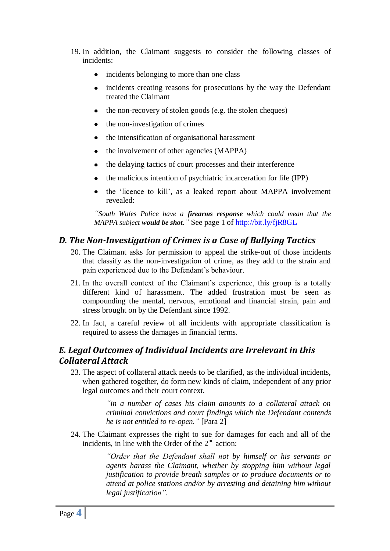- 19. In addition, the Claimant suggests to consider the following classes of incidents:
	- incidents belonging to more than one class
	- incidents creating reasons for prosecutions by the way the Defendant treated the Claimant
	- the non-recovery of stolen goods (e.g. the stolen cheques)
	- the non-investigation of crimes
	- the intensification of organisational harassment
	- the involvement of other agencies (MAPPA)  $\bullet$
	- the delaying tactics of court processes and their interference  $\bullet$
	- the malicious intention of psychiatric incarceration for life (IPP)
	- the 'licence to kill', as a leaked report about MAPPA involvement revealed:

*"South Wales Police have a firearms response which could mean that the MAPPA subject would be shot."* See page 1 of<http://bit.ly/fjR8GL>

## *D. The Non-Investigation of Crimes is a Case of Bullying Tactics*

- 20. The Claimant asks for permission to appeal the strike-out of those incidents that classify as the non-investigation of crime, as they add to the strain and pain experienced due to the Defendant's behaviour.
- 21. In the overall context of the Claimant's experience, this group is a totally different kind of harassment. The added frustration must be seen as compounding the mental, nervous, emotional and financial strain, pain and stress brought on by the Defendant since 1992.
- 22. In fact, a careful review of all incidents with appropriate classification is required to assess the damages in financial terms.

## *E. Legal Outcomes of Individual Incidents are Irrelevant in this Collateral Attack*

23. The aspect of collateral attack needs to be clarified, as the individual incidents, when gathered together, do form new kinds of claim, independent of any prior legal outcomes and their court context.

> *"in a number of cases his claim amounts to a collateral attack on criminal convictions and court findings which the Defendant contends he is not entitled to re-open."* [Para 2]

24. The Claimant expresses the right to sue for damages for each and all of the incidents, in line with the Order of the  $2<sup>nd</sup>$  action:

> *"Order that the Defendant shall not by himself or his servants or agents harass the Claimant, whether by stopping him without legal justification to provide breath samples or to produce documents or to attend at police stations and/or by arresting and detaining him without legal justification"*.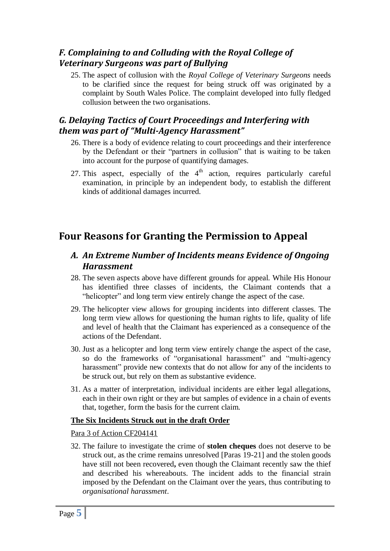## *F. Complaining to and Colluding with the Royal College of Veterinary Surgeons was part of Bullying*

25. The aspect of collusion with the *Royal College of Veterinary Surgeons* needs to be clarified since the request for being struck off was originated by a complaint by South Wales Police. The complaint developed into fully fledged collusion between the two organisations.

## *G. Delaying Tactics of Court Proceedings and Interfering with them was part of "Multi-Agency Harassment"*

- 26. There is a body of evidence relating to court proceedings and their interference by the Defendant or their "partners in collusion" that is waiting to be taken into account for the purpose of quantifying damages.
- 27. This aspect, especially of the  $4<sup>th</sup>$  action, requires particularly careful examination, in principle by an independent body, to establish the different kinds of additional damages incurred.

# **Four Reasons for Granting the Permission to Appeal**

## *A. An Extreme Number of Incidents means Evidence of Ongoing Harassment*

- 28. The seven aspects above have different grounds for appeal. While His Honour has identified three classes of incidents, the Claimant contends that a "helicopter" and long term view entirely change the aspect of the case.
- 29. The helicopter view allows for grouping incidents into different classes. The long term view allows for questioning the human rights to life, quality of life and level of health that the Claimant has experienced as a consequence of the actions of the Defendant.
- 30. Just as a helicopter and long term view entirely change the aspect of the case, so do the frameworks of "organisational harassment" and "multi-agency harassment" provide new contexts that do not allow for any of the incidents to be struck out, but rely on them as substantive evidence.
- 31. As a matter of interpretation, individual incidents are either legal allegations, each in their own right or they are but samples of evidence in a chain of events that, together, form the basis for the current claim.

### **The Six Incidents Struck out in the draft Order**

### Para 3 of Action CF204141

32. The failure to investigate the crime of **stolen cheques** does not deserve to be struck out, as the crime remains unresolved [Paras 19-21] and the stolen goods have still not been recovered**,** even though the Claimant recently saw the thief and described his whereabouts. The incident adds to the financial strain imposed by the Defendant on the Claimant over the years, thus contributing to *organisational harassment*.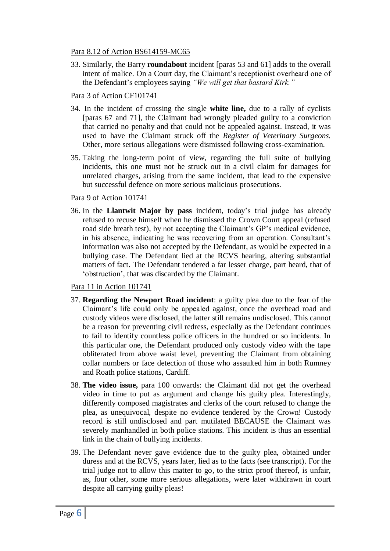### Para 8.12 of Action BS614159-MC65

33. Similarly, the Barry **roundabout** incident [paras 53 and 61] adds to the overall intent of malice. On a Court day, the Claimant's receptionist overheard one of the Defendant"s employees saying *"We will get that bastard Kirk."*

## Para 3 of Action CF101741

- 34. In the incident of crossing the single **white line,** due to a rally of cyclists [paras 67 and 71], the Claimant had wrongly pleaded guilty to a conviction that carried no penalty and that could not be appealed against. Instead, it was used to have the Claimant struck off the *Register of Veterinary Surgeons.* Other, more serious allegations were dismissed following cross-examination.
- 35. Taking the long-term point of view, regarding the full suite of bullying incidents, this one must not be struck out in a civil claim for damages for unrelated charges, arising from the same incident, that lead to the expensive but successful defence on more serious malicious prosecutions.

### Para 9 of Action 101741

36. In the **Llantwit Major by pass** incident, today"s trial judge has already refused to recuse himself when he dismissed the Crown Court appeal (refused road side breath test), by not accepting the Claimant's GP's medical evidence, in his absence, indicating he was recovering from an operation. Consultant"s information was also not accepted by the Defendant, as would be expected in a bullying case. The Defendant lied at the RCVS hearing, altering substantial matters of fact. The Defendant tendered a far lesser charge, part heard, that of "obstruction", that was discarded by the Claimant.

### Para 11 in Action 101741

- 37. **Regarding the Newport Road incident**: a guilty plea due to the fear of the Claimant"s life could only be appealed against, once the overhead road and custody videos were disclosed, the latter still remains undisclosed. This cannot be a reason for preventing civil redress, especially as the Defendant continues to fail to identify countless police officers in the hundred or so incidents. In this particular one, the Defendant produced only custody video with the tape obliterated from above waist level, preventing the Claimant from obtaining collar numbers or face detection of those who assaulted him in both Rumney and Roath police stations, Cardiff.
- 38. **The video issue,** para 100 onwards: the Claimant did not get the overhead video in time to put as argument and change his guilty plea. Interestingly, differently composed magistrates and clerks of the court refused to change the plea, as unequivocal, despite no evidence tendered by the Crown! Custody record is still undisclosed and part mutilated BECAUSE the Claimant was severely manhandled in both police stations. This incident is thus an essential link in the chain of bullying incidents.
- 39. The Defendant never gave evidence due to the guilty plea, obtained under duress and at the RCVS, years later, lied as to the facts (see transcript). For the trial judge not to allow this matter to go, to the strict proof thereof, is unfair, as, four other, some more serious allegations, were later withdrawn in court despite all carrying guilty pleas!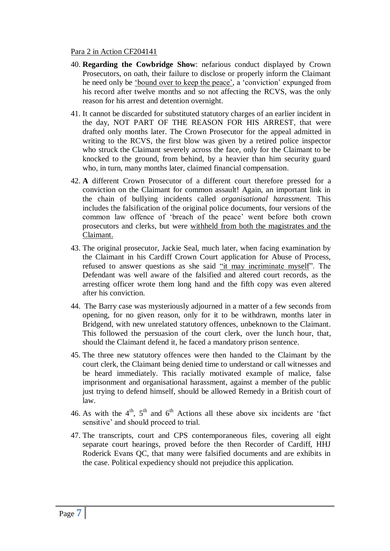#### Para 2 in Action CF204141

- 40. **Regarding the Cowbridge Show**: nefarious conduct displayed by Crown Prosecutors, on oath, their failure to disclose or properly inform the Claimant he need only be "bound over to keep the peace", a "conviction" expunged from his record after twelve months and so not affecting the RCVS, was the only reason for his arrest and detention overnight.
- 41. It cannot be discarded for substituted statutory charges of an earlier incident in the day, NOT PART OF THE REASON FOR HIS ARREST, that were drafted only months later. The Crown Prosecutor for the appeal admitted in writing to the RCVS, the first blow was given by a retired police inspector who struck the Claimant severely across the face, only for the Claimant to be knocked to the ground, from behind, by a heavier than him security guard who, in turn, many months later, claimed financial compensation.
- 42. **A** different Crown Prosecutor of a different court therefore pressed for a conviction on the Claimant for common assault! Again, an important link in the chain of bullying incidents called *organisational harassment.* This includes the falsification of the original police documents, four versions of the common law offence of "breach of the peace" went before both crown prosecutors and clerks, but were withheld from both the magistrates and the Claimant.
- 43. The original prosecutor, Jackie Seal, much later, when facing examination by the Claimant in his Cardiff Crown Court application for Abuse of Process, refused to answer questions as she said "it may incriminate myself". The Defendant was well aware of the falsified and altered court records, as the arresting officer wrote them long hand and the fifth copy was even altered after his conviction.
- 44. The Barry case was mysteriously adjourned in a matter of a few seconds from opening, for no given reason, only for it to be withdrawn, months later in Bridgend, with new unrelated statutory offences, unbeknown to the Claimant. This followed the persuasion of the court clerk, over the lunch hour, that, should the Claimant defend it, he faced a mandatory prison sentence.
- 45. The three new statutory offences were then handed to the Claimant by the court clerk, the Claimant being denied time to understand or call witnesses and be heard immediately. This racially motivated example of malice, false imprisonment and organisational harassment, against a member of the public just trying to defend himself, should be allowed Remedy in a British court of law.
- 46. As with the  $4<sup>th</sup>$ ,  $5<sup>th</sup>$  and  $6<sup>th</sup>$  Actions all these above six incidents are 'fact sensitive' and should proceed to trial.
- 47. The transcripts, court and CPS contemporaneous files, covering all eight separate court hearings, proved before the then Recorder of Cardiff, HHJ Roderick Evans QC, that many were falsified documents and are exhibits in the case. Political expediency should not prejudice this application.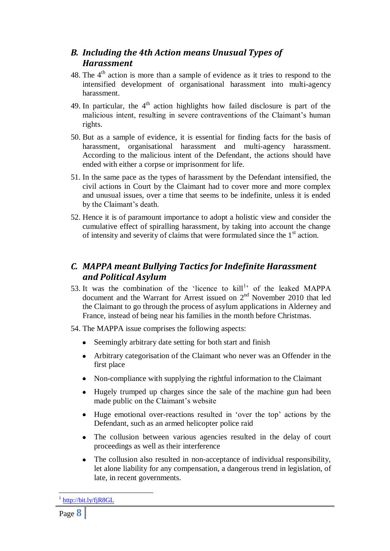## *B. Including the 4th Action means Unusual Types of Harassment*

- 48. The  $4<sup>th</sup>$  action is more than a sample of evidence as it tries to respond to the intensified development of organisational harassment into multi-agency harassment.
- 49. In particular, the  $4<sup>th</sup>$  action highlights how failed disclosure is part of the malicious intent, resulting in severe contraventions of the Claimant's human rights.
- 50. But as a sample of evidence, it is essential for finding facts for the basis of harassment, organisational harassment and multi-agency harassment. According to the malicious intent of the Defendant, the actions should have ended with either a corpse or imprisonment for life.
- 51. In the same pace as the types of harassment by the Defendant intensified, the civil actions in Court by the Claimant had to cover more and more complex and unusual issues, over a time that seems to be indefinite, unless it is ended by the Claimant"s death.
- 52. Hence it is of paramount importance to adopt a holistic view and consider the cumulative effect of spiralling harassment, by taking into account the change of intensity and severity of claims that were formulated since the  $1<sup>st</sup>$  action.

# *C. MAPPA meant Bullying Tactics for Indefinite Harassment and Political Asylum*

- 53. It was the combination of the 'licence to  $\text{kill}^1$ ' of the leaked MAPPA document and the Warrant for Arrest issued on  $2<sup>nd</sup>$  November 2010 that led the Claimant to go through the process of asylum applications in Alderney and France, instead of being near his families in the month before Christmas.
- 54. The MAPPA issue comprises the following aspects:
	- Seemingly arbitrary date setting for both start and finish
	- Arbitrary categorisation of the Claimant who never was an Offender in the first place
	- Non-compliance with supplying the rightful information to the Claimant
	- Hugely trumped up charges since the sale of the machine gun had been  $\bullet$ made public on the Claimant's website
	- Huge emotional over-reactions resulted in 'over the top' actions by the Defendant, such as an armed helicopter police raid
	- $\bullet$ The collusion between various agencies resulted in the delay of court proceedings as well as their interference
	- The collusion also resulted in non-acceptance of individual responsibility,  $\bullet$ let alone liability for any compensation, a dangerous trend in legislation, of late, in recent governments.

<u>.</u>

<sup>1</sup> <http://bit.ly/fjR8GL>